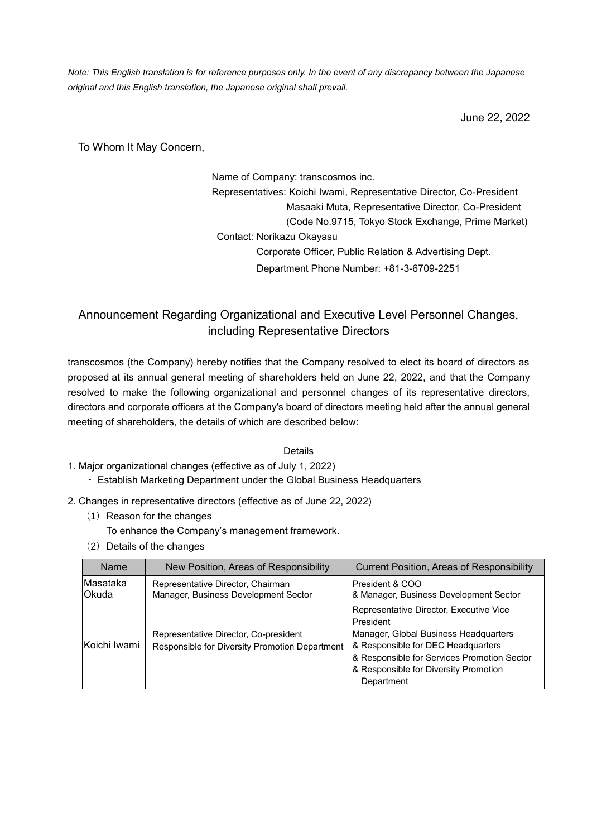*Note: This English translation is for reference purposes only. In the event of any discrepancy between the Japanese original and this English translation, the Japanese original shall prevail.* 

June 22, 2022

To Whom It May Concern,

Name of Company: transcosmos inc. Representatives: Koichi Iwami, Representative Director, Co-President Masaaki Muta, Representative Director, Co-President (Code No.9715, Tokyo Stock Exchange, Prime Market) Contact: Norikazu Okayasu Corporate Officer, Public Relation & Advertising Dept. Department Phone Number: +81-3-6709-2251

# Announcement Regarding Organizational and Executive Level Personnel Changes, including Representative Directors

transcosmos (the Company) hereby notifies that the Company resolved to elect its board of directors as proposed at its annual general meeting of shareholders held on June 22, 2022, and that the Company resolved to make the following organizational and personnel changes of its representative directors, directors and corporate officers at the Company's board of directors meeting held after the annual general meeting of shareholders, the details of which are described below:

#### Details

- 1. Major organizational changes (effective as of July 1, 2022)
	- ・ Establish Marketing Department under the Global Business Headquarters
- 2. Changes in representative directors (effective as of June 22, 2022)
	- (1) Reason for the changes
		- To enhance the Company's management framework.
	- (2) Details of the changes

| Name                     | New Position, Areas of Responsibility                                                   | <b>Current Position, Areas of Responsibility</b>                                                                                                                                                                                          |  |
|--------------------------|-----------------------------------------------------------------------------------------|-------------------------------------------------------------------------------------------------------------------------------------------------------------------------------------------------------------------------------------------|--|
| Masataka<br><b>Okuda</b> | Representative Director, Chairman<br>Manager, Business Development Sector               | President & COO<br>& Manager, Business Development Sector                                                                                                                                                                                 |  |
| Koichi Iwami             | Representative Director, Co-president<br>Responsible for Diversity Promotion Department | Representative Director, Executive Vice<br>President<br>Manager, Global Business Headquarters<br>& Responsible for DEC Headquarters<br>& Responsible for Services Promotion Sector<br>& Responsible for Diversity Promotion<br>Department |  |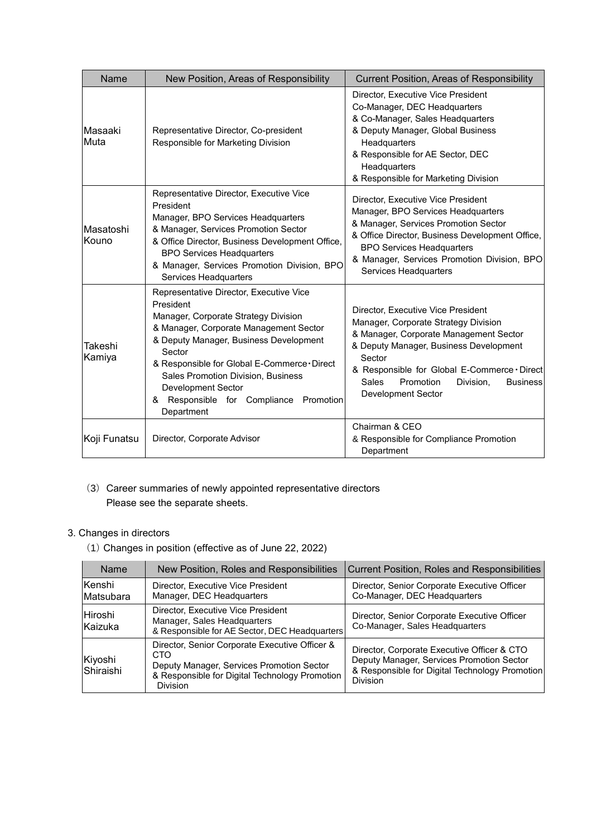| Name               | New Position, Areas of Responsibility                                                                                                                                                                                                                                                                                                                                    | <b>Current Position, Areas of Responsibility</b>                                                                                                                                                                                                                                                            |  |
|--------------------|--------------------------------------------------------------------------------------------------------------------------------------------------------------------------------------------------------------------------------------------------------------------------------------------------------------------------------------------------------------------------|-------------------------------------------------------------------------------------------------------------------------------------------------------------------------------------------------------------------------------------------------------------------------------------------------------------|--|
| Masaaki<br>Muta    | Representative Director, Co-president<br>Responsible for Marketing Division                                                                                                                                                                                                                                                                                              | Director, Executive Vice President<br>Co-Manager, DEC Headquarters<br>& Co-Manager, Sales Headquarters<br>& Deputy Manager, Global Business<br>Headquarters<br>& Responsible for AE Sector, DEC<br>Headquarters<br>& Responsible for Marketing Division                                                     |  |
| Masatoshi<br>Kouno | Representative Director, Executive Vice<br>President<br>Manager, BPO Services Headquarters<br>& Manager, Services Promotion Sector<br>& Office Director, Business Development Office,<br><b>BPO Services Headquarters</b><br>& Manager, Services Promotion Division, BPO<br>Services Headquarters                                                                        | Director, Executive Vice President<br>Manager, BPO Services Headquarters<br>& Manager, Services Promotion Sector<br>& Office Director, Business Development Office,<br><b>BPO Services Headquarters</b><br>& Manager, Services Promotion Division, BPO<br>Services Headquarters                             |  |
| Takeshi<br>Kamiya  | Representative Director, Executive Vice<br>President<br>Manager, Corporate Strategy Division<br>& Manager, Corporate Management Sector<br>& Deputy Manager, Business Development<br>Sector<br>& Responsible for Global E-Commerce · Direct<br>Sales Promotion Division, Business<br><b>Development Sector</b><br>& Responsible for Compliance<br>Promotion<br>Department | Director, Executive Vice President<br>Manager, Corporate Strategy Division<br>& Manager, Corporate Management Sector<br>& Deputy Manager, Business Development<br>Sector<br>& Responsible for Global E-Commerce · Direct<br><b>Sales</b><br>Promotion<br>Division.<br><b>Business</b><br>Development Sector |  |
| Koji Funatsu       | Director, Corporate Advisor                                                                                                                                                                                                                                                                                                                                              | Chairman & CEO<br>& Responsible for Compliance Promotion<br>Department                                                                                                                                                                                                                                      |  |

## (3) Career summaries of newly appointed representative directors Please see the separate sheets.

## 3. Changes in directors

(1) Changes in position (effective as of June 22, 2022)

| Name                 | New Position, Roles and Responsibilities                                                                                                                                 | <b>Current Position, Roles and Responsibilities</b>                                                                                                           |
|----------------------|--------------------------------------------------------------------------------------------------------------------------------------------------------------------------|---------------------------------------------------------------------------------------------------------------------------------------------------------------|
| Kenshi<br>Matsubara  | Director, Senior Corporate Executive Officer<br>Director, Executive Vice President<br>Co-Manager, DEC Headquarters<br>Manager, DEC Headquarters                          |                                                                                                                                                               |
| Hiroshi<br>Kaizuka   | Director, Executive Vice President<br>Manager, Sales Headquarters<br>& Responsible for AE Sector, DEC Headquarters                                                       | Director, Senior Corporate Executive Officer<br>Co-Manager, Sales Headquarters                                                                                |
| Kiyoshi<br>Shiraishi | Director, Senior Corporate Executive Officer &<br>CTO.<br>Deputy Manager, Services Promotion Sector<br>& Responsible for Digital Technology Promotion<br><b>Division</b> | Director, Corporate Executive Officer & CTO<br>Deputy Manager, Services Promotion Sector<br>& Responsible for Digital Technology Promotion<br><b>Division</b> |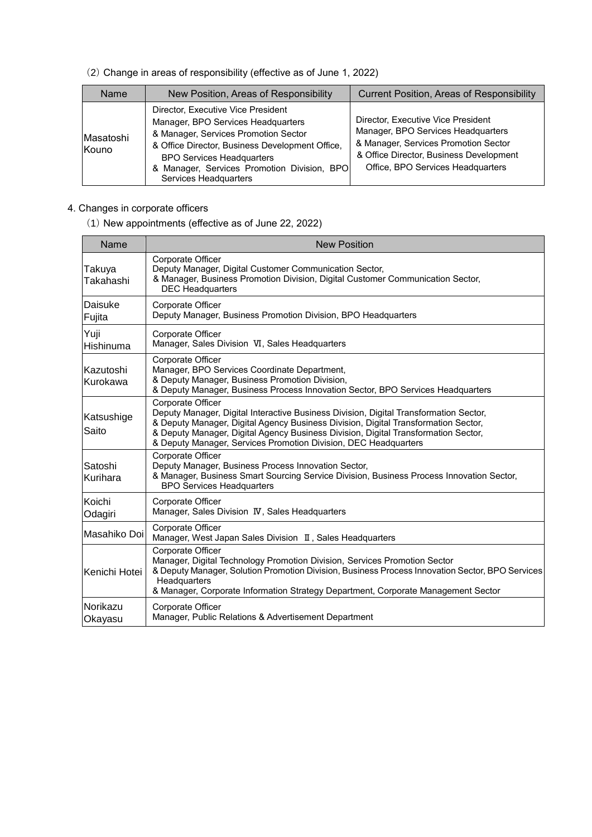(2) Change in areas of responsibility (effective as of June 1, 2022)

| <b>Name</b>               | New Position, Areas of Responsibility                                                                                                                                                                                                                                           | <b>Current Position, Areas of Responsibility</b>                                                                                                                                                 |
|---------------------------|---------------------------------------------------------------------------------------------------------------------------------------------------------------------------------------------------------------------------------------------------------------------------------|--------------------------------------------------------------------------------------------------------------------------------------------------------------------------------------------------|
| Masatoshi<br><b>Kouno</b> | Director, Executive Vice President<br>Manager, BPO Services Headquarters<br>& Manager, Services Promotion Sector<br>& Office Director, Business Development Office,<br><b>BPO Services Headquarters</b><br>& Manager, Services Promotion Division, BPO<br>Services Headquarters | Director, Executive Vice President<br>Manager, BPO Services Headquarters<br>& Manager, Services Promotion Sector<br>& Office Director, Business Development<br>Office, BPO Services Headquarters |

- 4. Changes in corporate officers
	- (1) New appointments (effective as of June 22, 2022)

| Name                  | <b>New Position</b>                                                                                                                                                                                                                                                                                                                                       |
|-----------------------|-----------------------------------------------------------------------------------------------------------------------------------------------------------------------------------------------------------------------------------------------------------------------------------------------------------------------------------------------------------|
| Takuya<br>Takahashi   | Corporate Officer<br>Deputy Manager, Digital Customer Communication Sector,<br>& Manager, Business Promotion Division, Digital Customer Communication Sector,<br><b>DEC Headquarters</b>                                                                                                                                                                  |
| Daisuke<br>Fujita     | Corporate Officer<br>Deputy Manager, Business Promotion Division, BPO Headquarters                                                                                                                                                                                                                                                                        |
| Yuji<br>Hishinuma     | Corporate Officer<br>Manager, Sales Division VI, Sales Headquarters                                                                                                                                                                                                                                                                                       |
| Kazutoshi<br>Kurokawa | Corporate Officer<br>Manager, BPO Services Coordinate Department,<br>& Deputy Manager, Business Promotion Division,<br>& Deputy Manager, Business Process Innovation Sector, BPO Services Headquarters                                                                                                                                                    |
| Katsushige<br>Saito   | Corporate Officer<br>Deputy Manager, Digital Interactive Business Division, Digital Transformation Sector,<br>& Deputy Manager, Digital Agency Business Division, Digital Transformation Sector,<br>& Deputy Manager, Digital Agency Business Division, Digital Transformation Sector,<br>& Deputy Manager, Services Promotion Division, DEC Headquarters |
| Satoshi<br>Kurihara   | Corporate Officer<br>Deputy Manager, Business Process Innovation Sector,<br>& Manager, Business Smart Sourcing Service Division, Business Process Innovation Sector,<br><b>BPO Services Headquarters</b>                                                                                                                                                  |
| Koichi<br>Odagiri     | Corporate Officer<br>Manager, Sales Division IV, Sales Headquarters                                                                                                                                                                                                                                                                                       |
| Masahiko Doi          | <b>Corporate Officer</b><br>Manager, West Japan Sales Division II, Sales Headquarters                                                                                                                                                                                                                                                                     |
| Kenichi Hotei         | Corporate Officer<br>Manager, Digital Technology Promotion Division, Services Promotion Sector<br>& Deputy Manager, Solution Promotion Division, Business Process Innovation Sector, BPO Services<br>Headquarters<br>& Manager, Corporate Information Strategy Department, Corporate Management Sector                                                    |
| Norikazu<br>Okayasu   | Corporate Officer<br>Manager, Public Relations & Advertisement Department                                                                                                                                                                                                                                                                                 |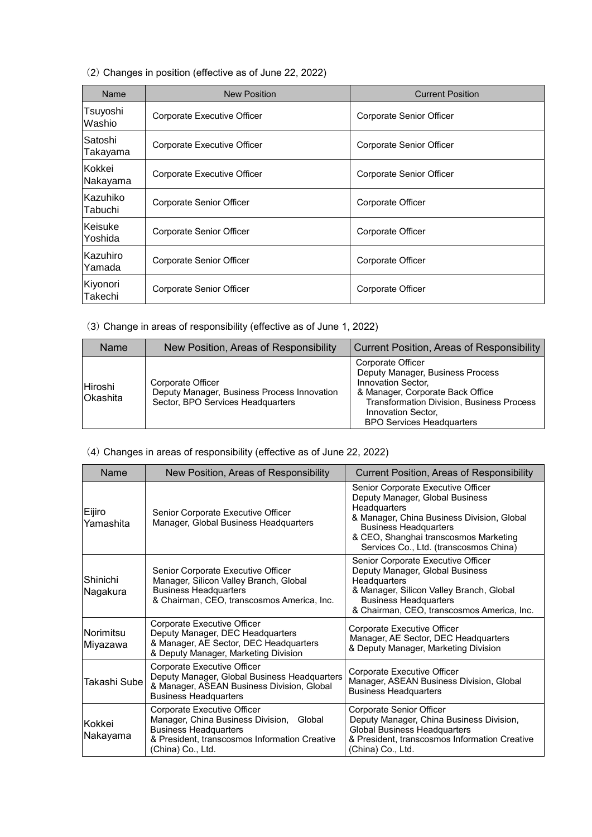(2) Changes in position (effective as of June 22, 2022)

| Name                | <b>New Position</b>         | <b>Current Position</b>  |
|---------------------|-----------------------------|--------------------------|
| Tsuyoshi<br>Washio  | Corporate Executive Officer | Corporate Senior Officer |
| Satoshi<br>Takayama | Corporate Executive Officer | Corporate Senior Officer |
| lKokkei<br>Nakayama | Corporate Executive Officer | Corporate Senior Officer |
| Kazuhiko<br>Tabuchi | Corporate Senior Officer    | Corporate Officer        |
| Keisuke<br>Yoshida  | Corporate Senior Officer    | Corporate Officer        |
| Kazuhiro<br>Yamada  | Corporate Senior Officer    | Corporate Officer        |
| Kiyonori<br>Takechi | Corporate Senior Officer    | Corporate Officer        |

(3) Change in areas of responsibility (effective as of June 1, 2022)

| Name                               | New Position, Areas of Responsibility                                                                 | <b>Current Position, Areas of Responsibility</b>                                                                                                                                                                              |  |
|------------------------------------|-------------------------------------------------------------------------------------------------------|-------------------------------------------------------------------------------------------------------------------------------------------------------------------------------------------------------------------------------|--|
| <b>IHiroshi</b><br><b>Okashita</b> | Corporate Officer<br>Deputy Manager, Business Process Innovation<br>Sector, BPO Services Headquarters | Corporate Officer<br>Deputy Manager, Business Process<br>Innovation Sector,<br>& Manager, Corporate Back Office<br><b>Transformation Division, Business Process</b><br>Innovation Sector,<br><b>BPO Services Headquarters</b> |  |

### (4) Changes in areas of responsibility (effective as of June 22, 2022)

| Name                   | New Position, Areas of Responsibility                                                                                                                                         | <b>Current Position, Areas of Responsibility</b>                                                                                                                                                                                                       |  |
|------------------------|-------------------------------------------------------------------------------------------------------------------------------------------------------------------------------|--------------------------------------------------------------------------------------------------------------------------------------------------------------------------------------------------------------------------------------------------------|--|
| Eijiro<br>Yamashita    | Senior Corporate Executive Officer<br>Manager, Global Business Headquarters                                                                                                   | Senior Corporate Executive Officer<br>Deputy Manager, Global Business<br>Headquarters<br>& Manager, China Business Division, Global<br><b>Business Headquarters</b><br>& CEO, Shanghai transcosmos Marketing<br>Services Co., Ltd. (transcosmos China) |  |
| lShinichi.<br>Nagakura | Senior Corporate Executive Officer<br>Manager, Silicon Valley Branch, Global<br><b>Business Headquarters</b><br>& Chairman, CEO, transcosmos America, Inc.                    | Senior Corporate Executive Officer<br>Deputy Manager, Global Business<br><b>Headquarters</b><br>& Manager, Silicon Valley Branch, Global<br><b>Business Headquarters</b><br>& Chairman, CEO, transcosmos America, Inc.                                 |  |
| Norimitsu<br>Miyazawa  | Corporate Executive Officer<br>Deputy Manager, DEC Headquarters<br>& Manager, AE Sector, DEC Headquarters<br>& Deputy Manager, Marketing Division                             | Corporate Executive Officer<br>Manager, AE Sector, DEC Headquarters<br>& Deputy Manager, Marketing Division                                                                                                                                            |  |
| Takashi Sube           | Corporate Executive Officer<br>Deputy Manager, Global Business Headquarters<br>& Manager, ASEAN Business Division, Global<br><b>Business Headquarters</b>                     | Corporate Executive Officer<br>Manager, ASEAN Business Division, Global<br><b>Business Headquarters</b>                                                                                                                                                |  |
| lKokkei<br>Nakayama    | Corporate Executive Officer<br>Manager, China Business Division, Global<br><b>Business Headquarters</b><br>& President, transcosmos Information Creative<br>(China) Co., Ltd. | Corporate Senior Officer<br>Deputy Manager, China Business Division,<br><b>Global Business Headquarters</b><br>& President, transcosmos Information Creative<br>(China) Co., Ltd.                                                                      |  |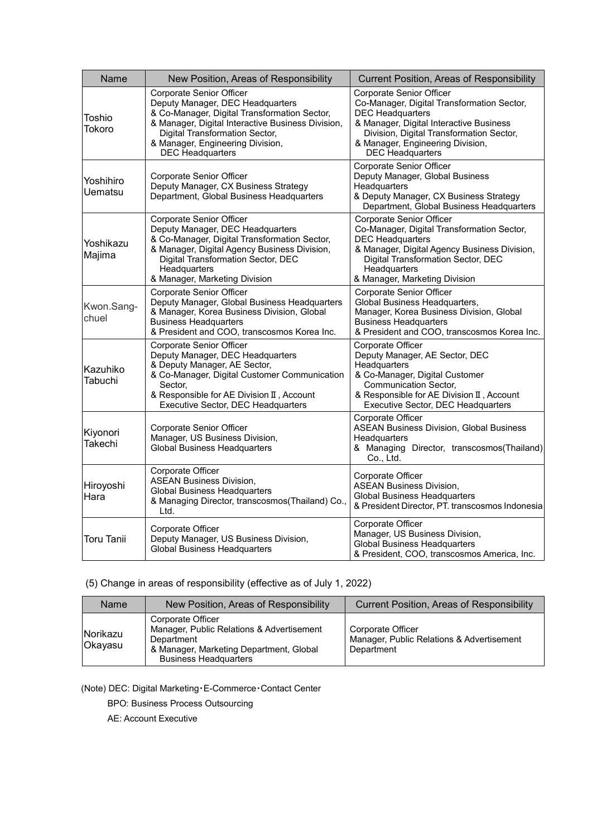| Name                       | New Position, Areas of Responsibility                                                                                                                                                                                                                              | Current Position, Areas of Responsibility                                                                                                                                                                                                               |
|----------------------------|--------------------------------------------------------------------------------------------------------------------------------------------------------------------------------------------------------------------------------------------------------------------|---------------------------------------------------------------------------------------------------------------------------------------------------------------------------------------------------------------------------------------------------------|
| Toshio<br>Tokoro           | Corporate Senior Officer<br>Deputy Manager, DEC Headquarters<br>& Co-Manager, Digital Transformation Sector,<br>& Manager, Digital Interactive Business Division,<br>Digital Transformation Sector,<br>& Manager, Engineering Division,<br><b>DEC</b> Headquarters | Corporate Senior Officer<br>Co-Manager, Digital Transformation Sector,<br><b>DEC Headquarters</b><br>& Manager, Digital Interactive Business<br>Division, Digital Transformation Sector,<br>& Manager, Engineering Division,<br><b>DEC</b> Headquarters |
| Yoshihiro<br>Uematsu       | Corporate Senior Officer<br>Deputy Manager, CX Business Strategy<br>Department, Global Business Headquarters                                                                                                                                                       | Corporate Senior Officer<br>Deputy Manager, Global Business<br><b>Headquarters</b><br>& Deputy Manager, CX Business Strategy<br>Department, Global Business Headquarters                                                                                |
| Yoshikazu<br>Majima        | Corporate Senior Officer<br>Deputy Manager, DEC Headquarters<br>& Co-Manager, Digital Transformation Sector,<br>& Manager, Digital Agency Business Division,<br>Digital Transformation Sector, DEC<br>Headquarters<br>& Manager, Marketing Division                | <b>Corporate Senior Officer</b><br>Co-Manager, Digital Transformation Sector,<br><b>DEC</b> Headquarters<br>& Manager, Digital Agency Business Division,<br>Digital Transformation Sector, DEC<br>Headquarters<br>& Manager, Marketing Division         |
| Kwon.Sang-<br>chuel        | Corporate Senior Officer<br>Deputy Manager, Global Business Headquarters<br>& Manager, Korea Business Division, Global<br><b>Business Headquarters</b><br>& President and COO, transcosmos Korea Inc.                                                              | Corporate Senior Officer<br>Global Business Headquarters,<br>Manager, Korea Business Division, Global<br><b>Business Headquarters</b><br>& President and COO, transcosmos Korea Inc.                                                                    |
| Kazuhiko<br>Tabuchi        | Corporate Senior Officer<br>Deputy Manager, DEC Headquarters<br>& Deputy Manager, AE Sector,<br>& Co-Manager, Digital Customer Communication<br>Sector,<br>& Responsible for AE Division II, Account<br>Executive Sector, DEC Headquarters                         | Corporate Officer<br>Deputy Manager, AE Sector, DEC<br><b>Headquarters</b><br>& Co-Manager, Digital Customer<br><b>Communication Sector,</b><br>& Responsible for AE Division II, Account<br>Executive Sector, DEC Headquarters                         |
| Kiyonori<br><b>Takechi</b> | Corporate Senior Officer<br>Manager, US Business Division,<br>Global Business Headquarters                                                                                                                                                                         | Corporate Officer<br><b>ASEAN Business Division, Global Business</b><br>Headquarters<br>& Managing Director, transcosmos(Thailand)<br>Co., Ltd.                                                                                                         |
| Hiroyoshi<br>Hara          | Corporate Officer<br><b>ASEAN Business Division,</b><br><b>Global Business Headquarters</b><br>& Managing Director, transcosmos (Thailand) Co.,<br>Ltd.                                                                                                            | Corporate Officer<br><b>ASEAN Business Division,</b><br><b>Global Business Headquarters</b><br>& President Director, PT. transcosmos Indonesia                                                                                                          |
| <b>Toru Tanii</b>          | Corporate Officer<br>Deputy Manager, US Business Division,<br><b>Global Business Headquarters</b>                                                                                                                                                                  | Corporate Officer<br>Manager, US Business Division,<br><b>Global Business Headquarters</b><br>& President, COO, transcosmos America, Inc.                                                                                                               |

(5) Change in areas of responsibility (effective as of July 1, 2022)

| Name                       | New Position, Areas of Responsibility                                                                                                                   | <b>Current Position, Areas of Responsibility</b>                             |
|----------------------------|---------------------------------------------------------------------------------------------------------------------------------------------------------|------------------------------------------------------------------------------|
| Norikazu<br><b>Okayasu</b> | Corporate Officer<br>Manager, Public Relations & Advertisement<br>Department<br>& Manager, Marketing Department, Global<br><b>Business Headquarters</b> | Corporate Officer<br>Manager, Public Relations & Advertisement<br>Department |

(Note) DEC: Digital Marketing・E-Commerce・Contact Center

BPO: Business Process Outsourcing

AE: Account Executive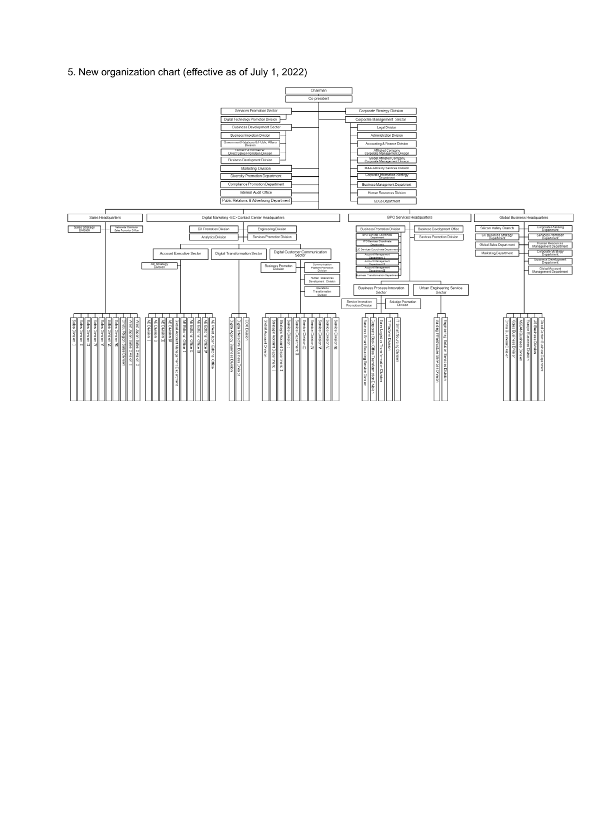5. New organization chart (effective as of July 1, 2022)

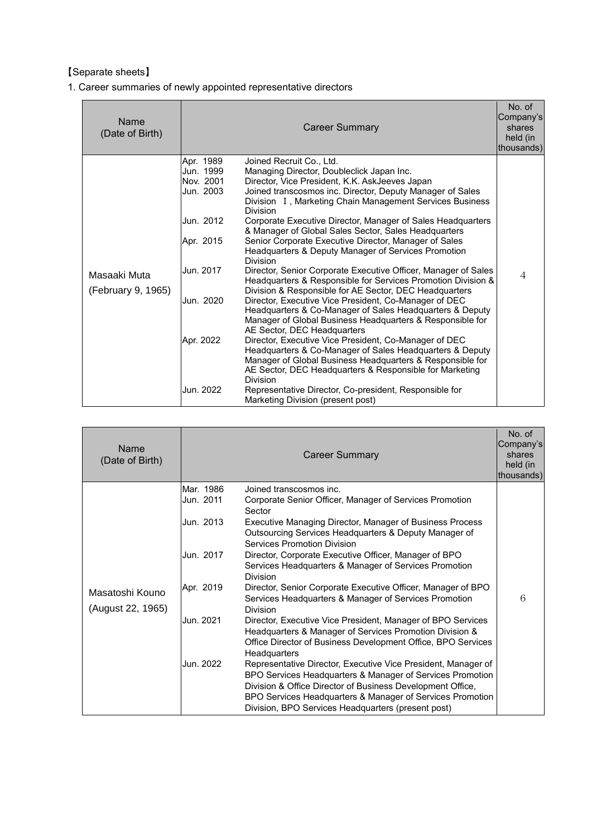## 【Separate sheets】

1. Career summaries of newly appointed representative directors

| Name<br>(Date of Birth)            |                                                                                                                                | <b>Career Summary</b>                                                                                                                                                                                                                                                                                                                                                                                                                                                                                                                                                                                                                                                                                                                                                                                                                                                                                                                                                                                                                                                                                                                                                                                                                                                                                     | No. of<br>Company's<br>shares<br>held (in<br>thousands) |
|------------------------------------|--------------------------------------------------------------------------------------------------------------------------------|-----------------------------------------------------------------------------------------------------------------------------------------------------------------------------------------------------------------------------------------------------------------------------------------------------------------------------------------------------------------------------------------------------------------------------------------------------------------------------------------------------------------------------------------------------------------------------------------------------------------------------------------------------------------------------------------------------------------------------------------------------------------------------------------------------------------------------------------------------------------------------------------------------------------------------------------------------------------------------------------------------------------------------------------------------------------------------------------------------------------------------------------------------------------------------------------------------------------------------------------------------------------------------------------------------------|---------------------------------------------------------|
| Masaaki Muta<br>(February 9, 1965) | Apr. 1989<br>Jun. 1999<br>Nov. 2001<br>Jun. 2003<br>Jun. 2012<br>Apr. 2015<br>Jun. 2017<br>Jun. 2020<br>Apr. 2022<br>Jun. 2022 | Joined Recruit Co., Ltd.<br>Managing Director, Doubleclick Japan Inc.<br>Director, Vice President, K.K. AskJeeves Japan<br>Joined transcosmos inc. Director, Deputy Manager of Sales<br>Division I, Marketing Chain Management Services Business<br><b>Division</b><br>Corporate Executive Director, Manager of Sales Headquarters<br>& Manager of Global Sales Sector, Sales Headquarters<br>Senior Corporate Executive Director, Manager of Sales<br>Headquarters & Deputy Manager of Services Promotion<br><b>Division</b><br>Director, Senior Corporate Executive Officer, Manager of Sales<br>Headquarters & Responsible for Services Promotion Division &<br>Division & Responsible for AE Sector, DEC Headquarters<br>Director, Executive Vice President, Co-Manager of DEC<br>Headquarters & Co-Manager of Sales Headquarters & Deputy<br>Manager of Global Business Headquarters & Responsible for<br>AE Sector, DEC Headquarters<br>Director, Executive Vice President, Co-Manager of DEC<br>Headquarters & Co-Manager of Sales Headquarters & Deputy<br>Manager of Global Business Headquarters & Responsible for<br>AE Sector, DEC Headquarters & Responsible for Marketing<br><b>Division</b><br>Representative Director, Co-president, Responsible for<br>Marketing Division (present post) | 4                                                       |

| Name<br>(Date of Birth)              | <b>Career Summary</b>                                                                                                                                                                                                                                                                                                                                                                                                                                                                                                                                                                                                                                                                                                                                                                                                                                                                                                                                                                                                                                                                                                                                        | No. of<br>Company's<br>shares<br>held (in<br>thousands) |
|--------------------------------------|--------------------------------------------------------------------------------------------------------------------------------------------------------------------------------------------------------------------------------------------------------------------------------------------------------------------------------------------------------------------------------------------------------------------------------------------------------------------------------------------------------------------------------------------------------------------------------------------------------------------------------------------------------------------------------------------------------------------------------------------------------------------------------------------------------------------------------------------------------------------------------------------------------------------------------------------------------------------------------------------------------------------------------------------------------------------------------------------------------------------------------------------------------------|---------------------------------------------------------|
| Masatoshi Kouno<br>(August 22, 1965) | Mar. 1986<br>Joined transcosmos inc.<br>Jun. 2011<br>Corporate Senior Officer, Manager of Services Promotion<br>Sector<br>Jun. 2013<br>Executive Managing Director, Manager of Business Process<br>Outsourcing Services Headquarters & Deputy Manager of<br><b>Services Promotion Division</b><br>Jun. 2017<br>Director, Corporate Executive Officer, Manager of BPO<br>Services Headquarters & Manager of Services Promotion<br><b>Division</b><br>Apr. 2019<br>Director, Senior Corporate Executive Officer, Manager of BPO<br>Services Headquarters & Manager of Services Promotion<br><b>Division</b><br>Jun. 2021<br>Director, Executive Vice President, Manager of BPO Services<br>Headquarters & Manager of Services Promotion Division &<br>Office Director of Business Development Office, BPO Services<br>Headquarters<br>Jun. 2022<br>Representative Director, Executive Vice President, Manager of<br>BPO Services Headquarters & Manager of Services Promotion<br>Division & Office Director of Business Development Office,<br>BPO Services Headquarters & Manager of Services Promotion<br>Division, BPO Services Headquarters (present post) | 6                                                       |